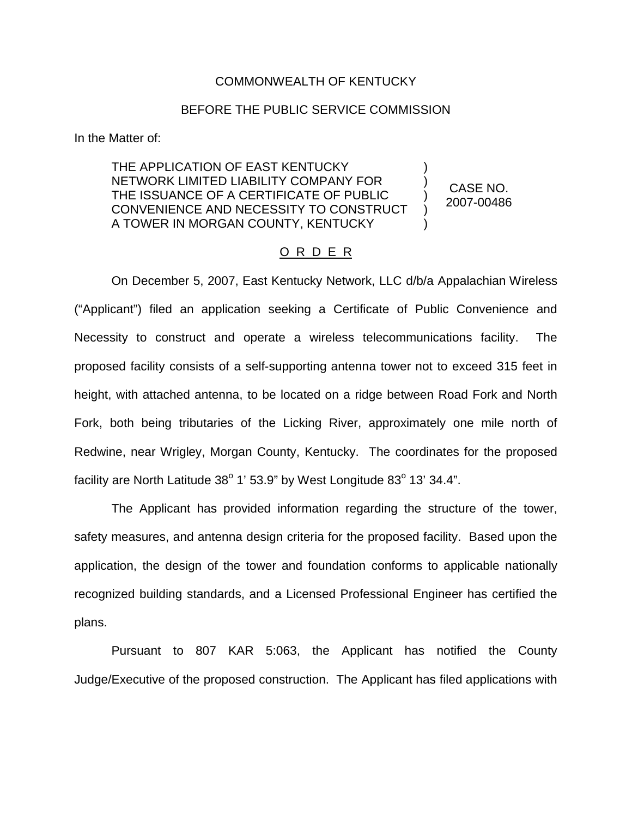## COMMONWEALTH OF KENTUCKY

## BEFORE THE PUBLIC SERVICE COMMISSION

In the Matter of:

THE APPLICATION OF EAST KENTUCKY NETWORK LIMITED LIABILITY COMPANY FOR THE ISSUANCE OF A CERTIFICATE OF PUBLIC CONVENIENCE AND NECESSITY TO CONSTRUCT A TOWER IN MORGAN COUNTY, KENTUCKY ) ) ) ) )

CASE NO. 2007-00486

## O R D E R

On December 5, 2007, East Kentucky Network, LLC d/b/a Appalachian Wireless ("Applicant") filed an application seeking a Certificate of Public Convenience and Necessity to construct and operate a wireless telecommunications facility. The proposed facility consists of a self-supporting antenna tower not to exceed 315 feet in height, with attached antenna, to be located on a ridge between Road Fork and North Fork, both being tributaries of the Licking River, approximately one mile north of Redwine, near Wrigley, Morgan County, Kentucky. The coordinates for the proposed facility are North Latitude  $38^{\circ}$  1' 53.9" by West Longitude  $83^{\circ}$  13' 34.4".

The Applicant has provided information regarding the structure of the tower, safety measures, and antenna design criteria for the proposed facility. Based upon the application, the design of the tower and foundation conforms to applicable nationally recognized building standards, and a Licensed Professional Engineer has certified the plans.

Pursuant to 807 KAR 5:063, the Applicant has notified the County Judge/Executive of the proposed construction. The Applicant has filed applications with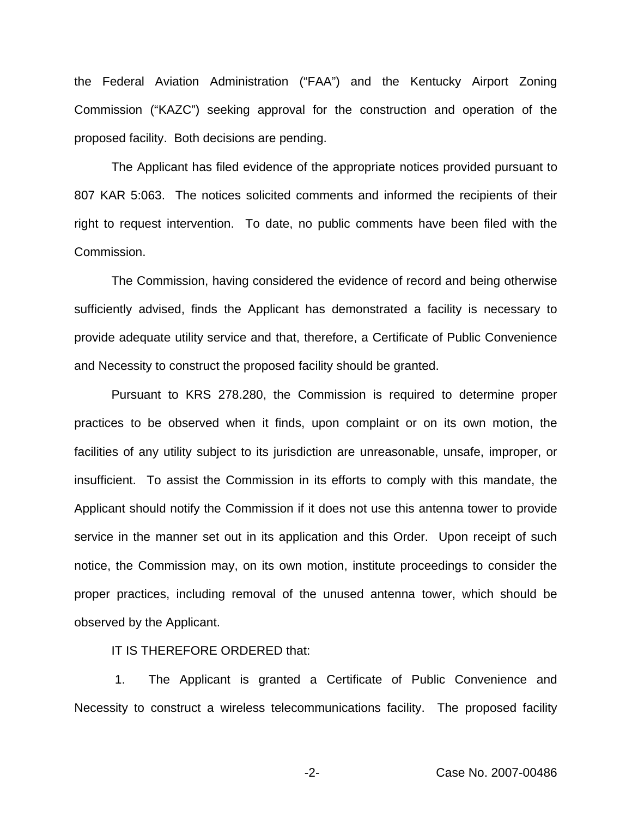the Federal Aviation Administration ("FAA") and the Kentucky Airport Zoning Commission ("KAZC") seeking approval for the construction and operation of the proposed facility. Both decisions are pending.

The Applicant has filed evidence of the appropriate notices provided pursuant to 807 KAR 5:063. The notices solicited comments and informed the recipients of their right to request intervention. To date, no public comments have been filed with the Commission.

The Commission, having considered the evidence of record and being otherwise sufficiently advised, finds the Applicant has demonstrated a facility is necessary to provide adequate utility service and that, therefore, a Certificate of Public Convenience and Necessity to construct the proposed facility should be granted.

Pursuant to KRS 278.280, the Commission is required to determine proper practices to be observed when it finds, upon complaint or on its own motion, the facilities of any utility subject to its jurisdiction are unreasonable, unsafe, improper, or insufficient. To assist the Commission in its efforts to comply with this mandate, the Applicant should notify the Commission if it does not use this antenna tower to provide service in the manner set out in its application and this Order. Upon receipt of such notice, the Commission may, on its own motion, institute proceedings to consider the proper practices, including removal of the unused antenna tower, which should be observed by the Applicant.

IT IS THEREFORE ORDERED that:

1. The Applicant is granted a Certificate of Public Convenience and Necessity to construct a wireless telecommunications facility. The proposed facility